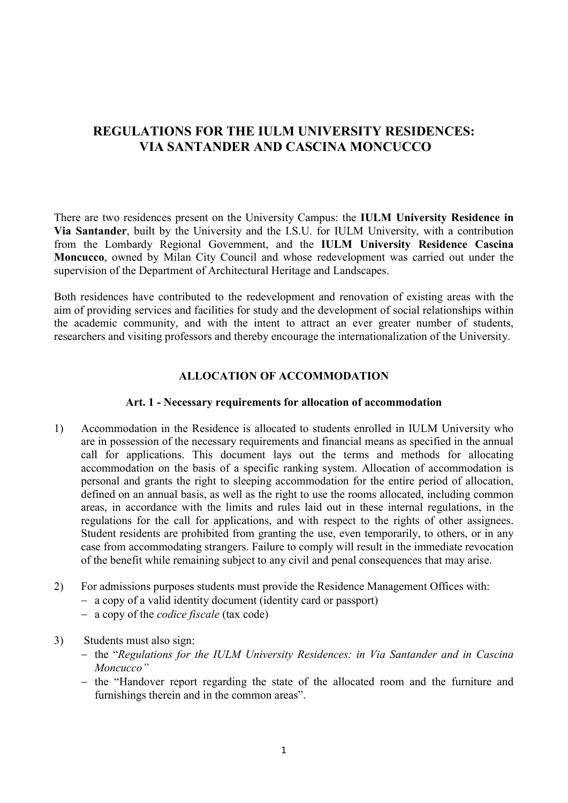# REGULATIONS FOR THE IULM UNIVERSITY RESIDENCES: VIA SANTANDER AND CASCINA MONCUCCO

There are two residences present on the University Campus: the IULM University Residence in Via Santander, built by the University and the I.S.U. for IULM University, with a contribution from the Lombardy Regional Government, and the IULM University Residence Cascina Moncucco, owned by Milan City Council and whose redevelopment was carried out under the supervision of the Department of Architectural Heritage and Landscapes.

Both residences have contributed to the redevelopment and renovation of existing areas with the aim of providing services and facilities for study and the development of social relationships within the academic community, and with the intent to attract an ever greater number of students, researchers and visiting professors and thereby encourage the internationalization of the University.

#### ALLOCATION OF ACCOMMODATION

#### Art. 1 - Necessary requirements for allocation of accommodation

- 1) Accommodation in the Residence is allocated to students enrolled in IULM University who are in possession of the necessary requirements and financial means as specified in the annual call for applications. This document lays out the terms and methods for allocating accommodation on the basis of a specific ranking system. Allocation of accommodation is personal and grants the right to sleeping accommodation for the entire period of allocation, defined on an annual basis, as well as the right to use the rooms allocated, including common areas, in accordance with the limits and rules laid out in these internal regulations, in the regulations for the call for applications, and with respect to the rights of other assignees. Student residents are prohibited from granting the use, even temporarily, to others, or in any case from accommodating strangers. Failure to comply will result in the immediate revocation of the benefit while remaining subject to any civil and penal consequences that may arise.
- 2) For admissions purposes students must provide the Residence Management Offices with:
	- a copy of a valid identity document (identity card or passport)
	- a copy of the *codice fiscale* (tax code)
- 3) Students must also sign:
	- the "Regulations for the IULM University Residences: in Via Santander and in Cascina Moncucco"
	- the "Handover report regarding the state of the allocated room and the furniture and furnishings therein and in the common areas".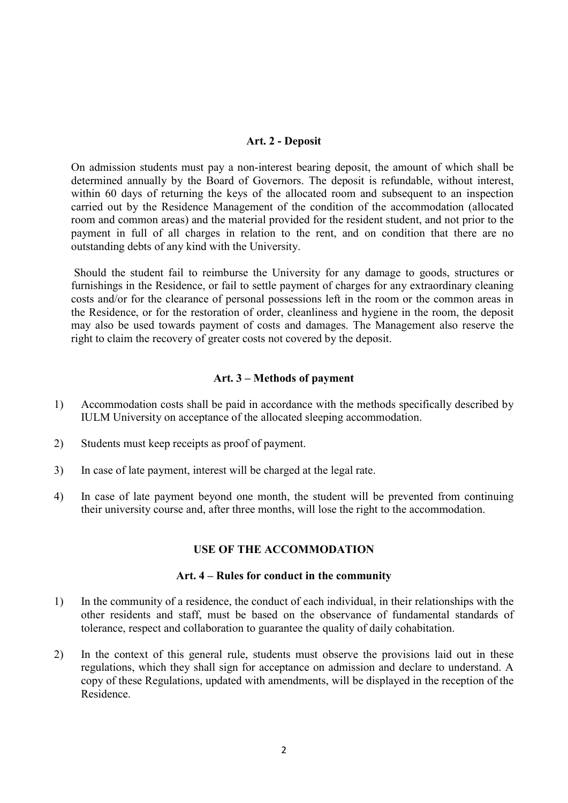#### Art. 2 - Deposit

On admission students must pay a non-interest bearing deposit, the amount of which shall be determined annually by the Board of Governors. The deposit is refundable, without interest, within 60 days of returning the keys of the allocated room and subsequent to an inspection carried out by the Residence Management of the condition of the accommodation (allocated room and common areas) and the material provided for the resident student, and not prior to the payment in full of all charges in relation to the rent, and on condition that there are no outstanding debts of any kind with the University.

 Should the student fail to reimburse the University for any damage to goods, structures or furnishings in the Residence, or fail to settle payment of charges for any extraordinary cleaning costs and/or for the clearance of personal possessions left in the room or the common areas in the Residence, or for the restoration of order, cleanliness and hygiene in the room, the deposit may also be used towards payment of costs and damages. The Management also reserve the right to claim the recovery of greater costs not covered by the deposit.

#### Art. 3 – Methods of payment

- 1) Accommodation costs shall be paid in accordance with the methods specifically described by IULM University on acceptance of the allocated sleeping accommodation.
- 2) Students must keep receipts as proof of payment.
- 3) In case of late payment, interest will be charged at the legal rate.
- 4) In case of late payment beyond one month, the student will be prevented from continuing their university course and, after three months, will lose the right to the accommodation.

#### USE OF THE ACCOMMODATION

#### Art. 4 – Rules for conduct in the community

- 1) In the community of a residence, the conduct of each individual, in their relationships with the other residents and staff, must be based on the observance of fundamental standards of tolerance, respect and collaboration to guarantee the quality of daily cohabitation.
- 2) In the context of this general rule, students must observe the provisions laid out in these regulations, which they shall sign for acceptance on admission and declare to understand. A copy of these Regulations, updated with amendments, will be displayed in the reception of the Residence.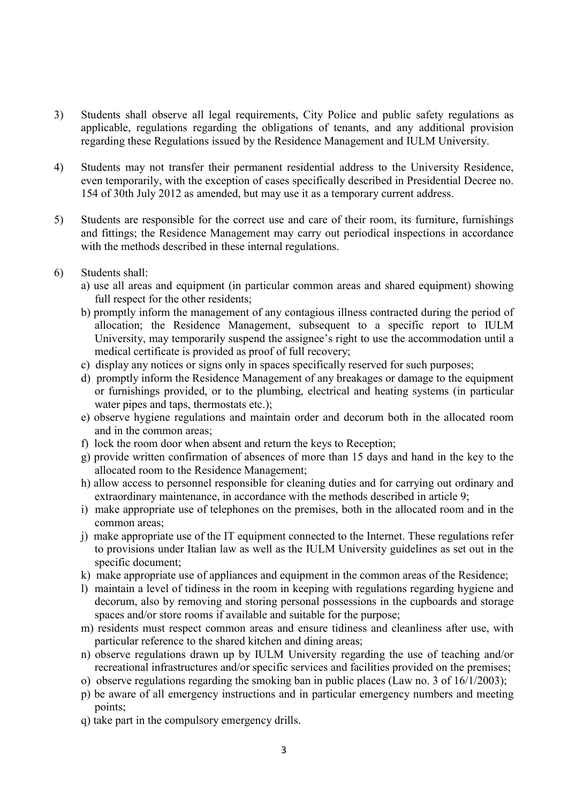- 3) Students shall observe all legal requirements, City Police and public safety regulations as applicable, regulations regarding the obligations of tenants, and any additional provision regarding these Regulations issued by the Residence Management and IULM University.
- 4) Students may not transfer their permanent residential address to the University Residence, even temporarily, with the exception of cases specifically described in Presidential Decree no. 154 of 30th July 2012 as amended, but may use it as a temporary current address.
- 5) Students are responsible for the correct use and care of their room, its furniture, furnishings and fittings; the Residence Management may carry out periodical inspections in accordance with the methods described in these internal regulations.
- 6) Students shall:
	- a) use all areas and equipment (in particular common areas and shared equipment) showing full respect for the other residents;
	- b) promptly inform the management of any contagious illness contracted during the period of allocation; the Residence Management, subsequent to a specific report to IULM University, may temporarily suspend the assignee's right to use the accommodation until a medical certificate is provided as proof of full recovery;
	- c) display any notices or signs only in spaces specifically reserved for such purposes;
	- d) promptly inform the Residence Management of any breakages or damage to the equipment or furnishings provided, or to the plumbing, electrical and heating systems (in particular water pipes and taps, thermostats etc.);
	- e) observe hygiene regulations and maintain order and decorum both in the allocated room and in the common areas;
	- f) lock the room door when absent and return the keys to Reception;
	- g) provide written confirmation of absences of more than 15 days and hand in the key to the allocated room to the Residence Management;
	- h) allow access to personnel responsible for cleaning duties and for carrying out ordinary and extraordinary maintenance, in accordance with the methods described in article 9;
	- i) make appropriate use of telephones on the premises, both in the allocated room and in the common areas;
	- j) make appropriate use of the IT equipment connected to the Internet. These regulations refer to provisions under Italian law as well as the IULM University guidelines as set out in the specific document;
	- k) make appropriate use of appliances and equipment in the common areas of the Residence;
	- l) maintain a level of tidiness in the room in keeping with regulations regarding hygiene and decorum, also by removing and storing personal possessions in the cupboards and storage spaces and/or store rooms if available and suitable for the purpose;
	- m) residents must respect common areas and ensure tidiness and cleanliness after use, with particular reference to the shared kitchen and dining areas;
	- n) observe regulations drawn up by IULM University regarding the use of teaching and/or recreational infrastructures and/or specific services and facilities provided on the premises;
	- o) observe regulations regarding the smoking ban in public places (Law no. 3 of 16/1/2003);
	- p) be aware of all emergency instructions and in particular emergency numbers and meeting points;
	- q) take part in the compulsory emergency drills.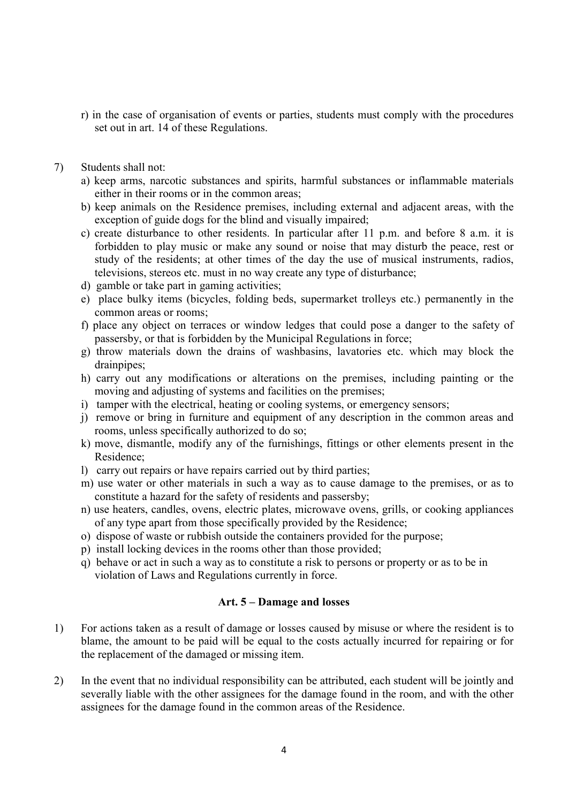- r) in the case of organisation of events or parties, students must comply with the procedures set out in art. 14 of these Regulations.
- 7) Students shall not:
	- a) keep arms, narcotic substances and spirits, harmful substances or inflammable materials either in their rooms or in the common areas;
	- b) keep animals on the Residence premises, including external and adjacent areas, with the exception of guide dogs for the blind and visually impaired;
	- c) create disturbance to other residents. In particular after 11 p.m. and before 8 a.m. it is forbidden to play music or make any sound or noise that may disturb the peace, rest or study of the residents; at other times of the day the use of musical instruments, radios, televisions, stereos etc. must in no way create any type of disturbance;
	- d) gamble or take part in gaming activities;
	- e) place bulky items (bicycles, folding beds, supermarket trolleys etc.) permanently in the common areas or rooms;
	- f) place any object on terraces or window ledges that could pose a danger to the safety of passersby, or that is forbidden by the Municipal Regulations in force;
	- g) throw materials down the drains of washbasins, lavatories etc. which may block the drainpipes;
	- h) carry out any modifications or alterations on the premises, including painting or the moving and adjusting of systems and facilities on the premises;
	- i) tamper with the electrical, heating or cooling systems, or emergency sensors;
	- j) remove or bring in furniture and equipment of any description in the common areas and rooms, unless specifically authorized to do so;
	- k) move, dismantle, modify any of the furnishings, fittings or other elements present in the Residence;
	- l) carry out repairs or have repairs carried out by third parties;
	- m) use water or other materials in such a way as to cause damage to the premises, or as to constitute a hazard for the safety of residents and passersby;
	- n) use heaters, candles, ovens, electric plates, microwave ovens, grills, or cooking appliances of any type apart from those specifically provided by the Residence;
	- o) dispose of waste or rubbish outside the containers provided for the purpose;
	- p) install locking devices in the rooms other than those provided;
	- q) behave or act in such a way as to constitute a risk to persons or property or as to be in violation of Laws and Regulations currently in force.

#### Art. 5 – Damage and losses

- 1) For actions taken as a result of damage or losses caused by misuse or where the resident is to blame, the amount to be paid will be equal to the costs actually incurred for repairing or for the replacement of the damaged or missing item.
- 2) In the event that no individual responsibility can be attributed, each student will be jointly and severally liable with the other assignees for the damage found in the room, and with the other assignees for the damage found in the common areas of the Residence.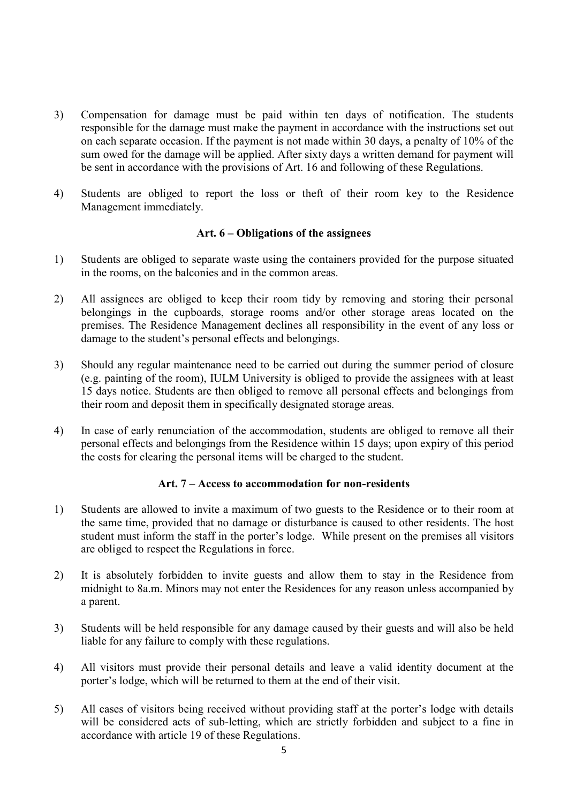- 3) Compensation for damage must be paid within ten days of notification. The students responsible for the damage must make the payment in accordance with the instructions set out on each separate occasion. If the payment is not made within 30 days, a penalty of 10% of the sum owed for the damage will be applied. After sixty days a written demand for payment will be sent in accordance with the provisions of Art. 16 and following of these Regulations.
- 4) Students are obliged to report the loss or theft of their room key to the Residence Management immediately.

#### Art. 6 – Obligations of the assignees

- 1) Students are obliged to separate waste using the containers provided for the purpose situated in the rooms, on the balconies and in the common areas.
- 2) All assignees are obliged to keep their room tidy by removing and storing their personal belongings in the cupboards, storage rooms and/or other storage areas located on the premises. The Residence Management declines all responsibility in the event of any loss or damage to the student's personal effects and belongings.
- 3) Should any regular maintenance need to be carried out during the summer period of closure (e.g. painting of the room), IULM University is obliged to provide the assignees with at least 15 days notice. Students are then obliged to remove all personal effects and belongings from their room and deposit them in specifically designated storage areas.
- 4) In case of early renunciation of the accommodation, students are obliged to remove all their personal effects and belongings from the Residence within 15 days; upon expiry of this period the costs for clearing the personal items will be charged to the student.

#### Art. 7 – Access to accommodation for non-residents

- 1) Students are allowed to invite a maximum of two guests to the Residence or to their room at the same time, provided that no damage or disturbance is caused to other residents. The host student must inform the staff in the porter's lodge. While present on the premises all visitors are obliged to respect the Regulations in force.
- 2) It is absolutely forbidden to invite guests and allow them to stay in the Residence from midnight to 8a.m. Minors may not enter the Residences for any reason unless accompanied by a parent.
- 3) Students will be held responsible for any damage caused by their guests and will also be held liable for any failure to comply with these regulations.
- 4) All visitors must provide their personal details and leave a valid identity document at the porter's lodge, which will be returned to them at the end of their visit.
- 5) All cases of visitors being received without providing staff at the porter's lodge with details will be considered acts of sub-letting, which are strictly forbidden and subject to a fine in accordance with article 19 of these Regulations.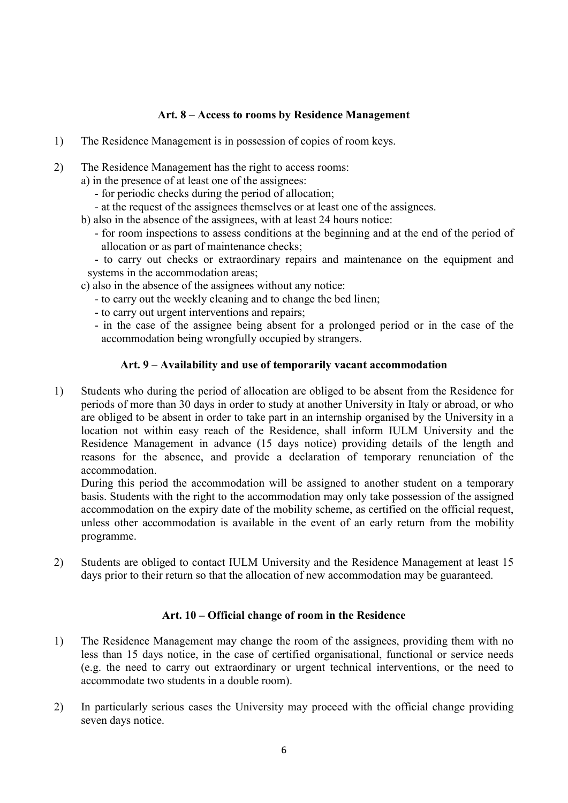### Art. 8 – Access to rooms by Residence Management

- 1) The Residence Management is in possession of copies of room keys.
- 2) The Residence Management has the right to access rooms:
	- a) in the presence of at least one of the assignees:
		- for periodic checks during the period of allocation;
		- at the request of the assignees themselves or at least one of the assignees.
	- b) also in the absence of the assignees, with at least 24 hours notice:
		- for room inspections to assess conditions at the beginning and at the end of the period of allocation or as part of maintenance checks;

- to carry out checks or extraordinary repairs and maintenance on the equipment and systems in the accommodation areas;

- c) also in the absence of the assignees without any notice:
	- to carry out the weekly cleaning and to change the bed linen;
	- to carry out urgent interventions and repairs;
	- in the case of the assignee being absent for a prolonged period or in the case of the accommodation being wrongfully occupied by strangers.

#### Art. 9 – Availability and use of temporarily vacant accommodation

1) Students who during the period of allocation are obliged to be absent from the Residence for periods of more than 30 days in order to study at another University in Italy or abroad, or who are obliged to be absent in order to take part in an internship organised by the University in a location not within easy reach of the Residence, shall inform IULM University and the Residence Management in advance (15 days notice) providing details of the length and reasons for the absence, and provide a declaration of temporary renunciation of the accommodation.

During this period the accommodation will be assigned to another student on a temporary basis. Students with the right to the accommodation may only take possession of the assigned accommodation on the expiry date of the mobility scheme, as certified on the official request, unless other accommodation is available in the event of an early return from the mobility programme.

2) Students are obliged to contact IULM University and the Residence Management at least 15 days prior to their return so that the allocation of new accommodation may be guaranteed.

#### Art. 10 – Official change of room in the Residence

- 1) The Residence Management may change the room of the assignees, providing them with no less than 15 days notice, in the case of certified organisational, functional or service needs (e.g. the need to carry out extraordinary or urgent technical interventions, or the need to accommodate two students in a double room).
- 2) In particularly serious cases the University may proceed with the official change providing seven days notice.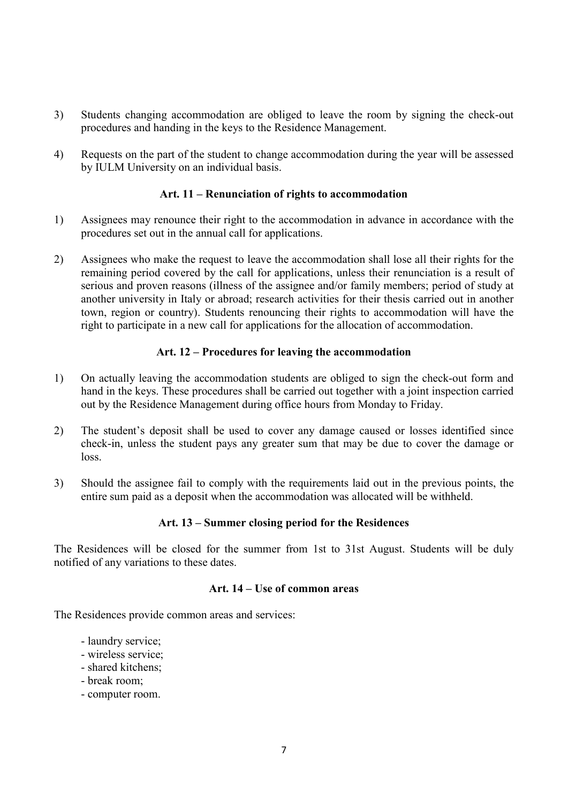- 3) Students changing accommodation are obliged to leave the room by signing the check-out procedures and handing in the keys to the Residence Management.
- 4) Requests on the part of the student to change accommodation during the year will be assessed by IULM University on an individual basis.

### Art. 11 – Renunciation of rights to accommodation

- 1) Assignees may renounce their right to the accommodation in advance in accordance with the procedures set out in the annual call for applications.
- 2) Assignees who make the request to leave the accommodation shall lose all their rights for the remaining period covered by the call for applications, unless their renunciation is a result of serious and proven reasons (illness of the assignee and/or family members; period of study at another university in Italy or abroad; research activities for their thesis carried out in another town, region or country). Students renouncing their rights to accommodation will have the right to participate in a new call for applications for the allocation of accommodation.

#### Art. 12 – Procedures for leaving the accommodation

- 1) On actually leaving the accommodation students are obliged to sign the check-out form and hand in the keys. These procedures shall be carried out together with a joint inspection carried out by the Residence Management during office hours from Monday to Friday.
- 2) The student's deposit shall be used to cover any damage caused or losses identified since check-in, unless the student pays any greater sum that may be due to cover the damage or loss.
- 3) Should the assignee fail to comply with the requirements laid out in the previous points, the entire sum paid as a deposit when the accommodation was allocated will be withheld.

#### Art. 13 – Summer closing period for the Residences

The Residences will be closed for the summer from 1st to 31st August. Students will be duly notified of any variations to these dates.

#### Art. 14 – Use of common areas

The Residences provide common areas and services:

- laundry service;
- wireless service;
- shared kitchens;
- break room;
- computer room.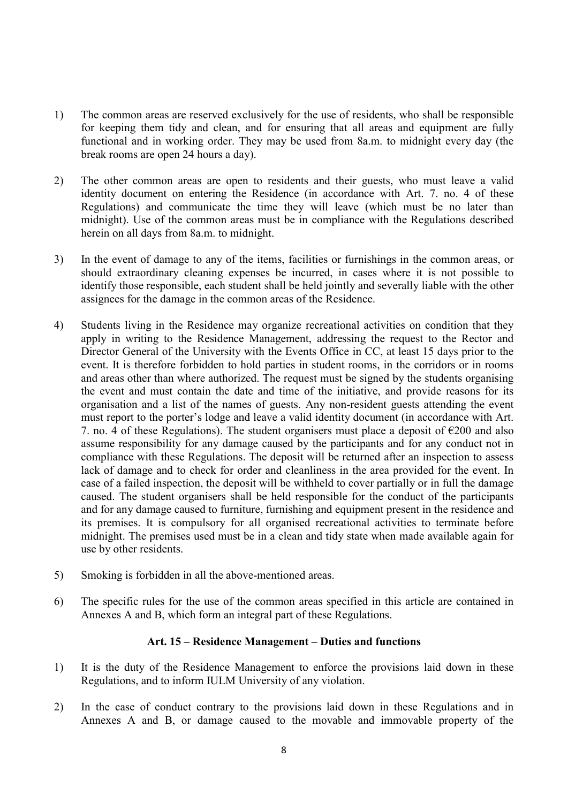- 1) The common areas are reserved exclusively for the use of residents, who shall be responsible for keeping them tidy and clean, and for ensuring that all areas and equipment are fully functional and in working order. They may be used from 8a.m. to midnight every day (the break rooms are open 24 hours a day).
- 2) The other common areas are open to residents and their guests, who must leave a valid identity document on entering the Residence (in accordance with Art. 7. no. 4 of these Regulations) and communicate the time they will leave (which must be no later than midnight). Use of the common areas must be in compliance with the Regulations described herein on all days from 8a.m. to midnight.
- 3) In the event of damage to any of the items, facilities or furnishings in the common areas, or should extraordinary cleaning expenses be incurred, in cases where it is not possible to identify those responsible, each student shall be held jointly and severally liable with the other assignees for the damage in the common areas of the Residence.
- 4) Students living in the Residence may organize recreational activities on condition that they apply in writing to the Residence Management, addressing the request to the Rector and Director General of the University with the Events Office in CC, at least 15 days prior to the event. It is therefore forbidden to hold parties in student rooms, in the corridors or in rooms and areas other than where authorized. The request must be signed by the students organising the event and must contain the date and time of the initiative, and provide reasons for its organisation and a list of the names of guests. Any non-resident guests attending the event must report to the porter's lodge and leave a valid identity document (in accordance with Art. 7. no. 4 of these Regulations). The student organisers must place a deposit of  $\epsilon$ 200 and also assume responsibility for any damage caused by the participants and for any conduct not in compliance with these Regulations. The deposit will be returned after an inspection to assess lack of damage and to check for order and cleanliness in the area provided for the event. In case of a failed inspection, the deposit will be withheld to cover partially or in full the damage caused. The student organisers shall be held responsible for the conduct of the participants and for any damage caused to furniture, furnishing and equipment present in the residence and its premises. It is compulsory for all organised recreational activities to terminate before midnight. The premises used must be in a clean and tidy state when made available again for use by other residents.
- 5) Smoking is forbidden in all the above-mentioned areas.
- 6) The specific rules for the use of the common areas specified in this article are contained in Annexes A and B, which form an integral part of these Regulations.

## Art. 15 – Residence Management – Duties and functions

- 1) It is the duty of the Residence Management to enforce the provisions laid down in these Regulations, and to inform IULM University of any violation.
- 2) In the case of conduct contrary to the provisions laid down in these Regulations and in Annexes A and B, or damage caused to the movable and immovable property of the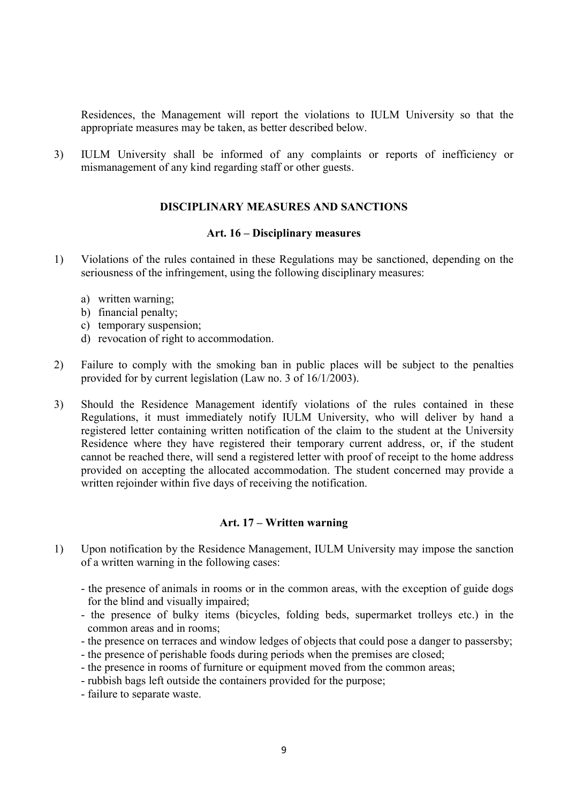Residences, the Management will report the violations to IULM University so that the appropriate measures may be taken, as better described below.

3) IULM University shall be informed of any complaints or reports of inefficiency or mismanagement of any kind regarding staff or other guests.

#### DISCIPLINARY MEASURES AND SANCTIONS

#### Art. 16 – Disciplinary measures

- 1) Violations of the rules contained in these Regulations may be sanctioned, depending on the seriousness of the infringement, using the following disciplinary measures:
	- a) written warning;
	- b) financial penalty;
	- c) temporary suspension;
	- d) revocation of right to accommodation.
- 2) Failure to comply with the smoking ban in public places will be subject to the penalties provided for by current legislation (Law no. 3 of 16/1/2003).
- 3) Should the Residence Management identify violations of the rules contained in these Regulations, it must immediately notify IULM University, who will deliver by hand a registered letter containing written notification of the claim to the student at the University Residence where they have registered their temporary current address, or, if the student cannot be reached there, will send a registered letter with proof of receipt to the home address provided on accepting the allocated accommodation. The student concerned may provide a written rejoinder within five days of receiving the notification.

#### Art. 17 – Written warning

- 1) Upon notification by the Residence Management, IULM University may impose the sanction of a written warning in the following cases:
	- the presence of animals in rooms or in the common areas, with the exception of guide dogs for the blind and visually impaired;
	- the presence of bulky items (bicycles, folding beds, supermarket trolleys etc.) in the common areas and in rooms;
	- the presence on terraces and window ledges of objects that could pose a danger to passersby;
	- the presence of perishable foods during periods when the premises are closed;
	- the presence in rooms of furniture or equipment moved from the common areas;
	- rubbish bags left outside the containers provided for the purpose;
	- failure to separate waste.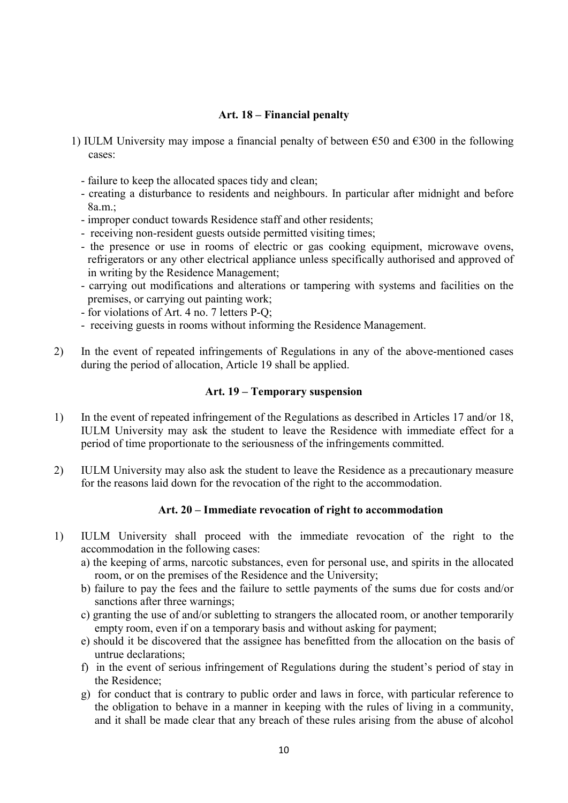#### Art. 18 – Financial penalty

- 1) IULM University may impose a financial penalty of between  $\epsilon$ 50 and  $\epsilon$ 300 in the following cases:
	- failure to keep the allocated spaces tidy and clean;
	- creating a disturbance to residents and neighbours. In particular after midnight and before 8a.m.;
	- improper conduct towards Residence staff and other residents;
	- receiving non-resident guests outside permitted visiting times;
	- the presence or use in rooms of electric or gas cooking equipment, microwave ovens, refrigerators or any other electrical appliance unless specifically authorised and approved of in writing by the Residence Management;
	- carrying out modifications and alterations or tampering with systems and facilities on the premises, or carrying out painting work;
	- for violations of Art. 4 no. 7 letters P-Q;
	- receiving guests in rooms without informing the Residence Management.
- 2) In the event of repeated infringements of Regulations in any of the above-mentioned cases during the period of allocation, Article 19 shall be applied.

#### Art. 19 – Temporary suspension

- 1) In the event of repeated infringement of the Regulations as described in Articles 17 and/or 18, IULM University may ask the student to leave the Residence with immediate effect for a period of time proportionate to the seriousness of the infringements committed.
- 2) IULM University may also ask the student to leave the Residence as a precautionary measure for the reasons laid down for the revocation of the right to the accommodation.

### Art. 20 – Immediate revocation of right to accommodation

- 1) IULM University shall proceed with the immediate revocation of the right to the accommodation in the following cases:
	- a) the keeping of arms, narcotic substances, even for personal use, and spirits in the allocated room, or on the premises of the Residence and the University;
	- b) failure to pay the fees and the failure to settle payments of the sums due for costs and/or sanctions after three warnings;
	- c) granting the use of and/or subletting to strangers the allocated room, or another temporarily empty room, even if on a temporary basis and without asking for payment;
	- e) should it be discovered that the assignee has benefitted from the allocation on the basis of untrue declarations;
	- f) in the event of serious infringement of Regulations during the student's period of stay in the Residence;
	- g) for conduct that is contrary to public order and laws in force, with particular reference to the obligation to behave in a manner in keeping with the rules of living in a community, and it shall be made clear that any breach of these rules arising from the abuse of alcohol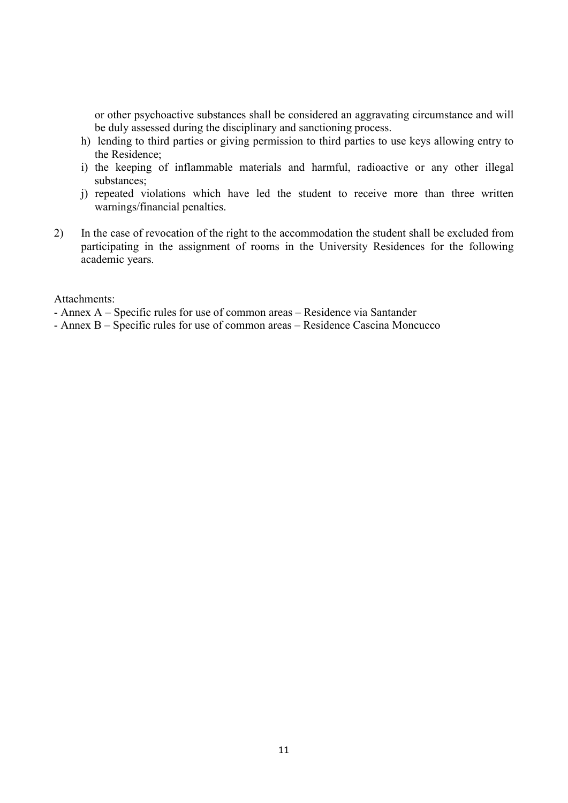or other psychoactive substances shall be considered an aggravating circumstance and will be duly assessed during the disciplinary and sanctioning process.

- h) lending to third parties or giving permission to third parties to use keys allowing entry to the Residence;
- i) the keeping of inflammable materials and harmful, radioactive or any other illegal substances;
- j) repeated violations which have led the student to receive more than three written warnings/financial penalties.
- 2) In the case of revocation of the right to the accommodation the student shall be excluded from participating in the assignment of rooms in the University Residences for the following academic years.

Attachments:

- Annex A – Specific rules for use of common areas – Residence via Santander

- Annex B – Specific rules for use of common areas – Residence Cascina Moncucco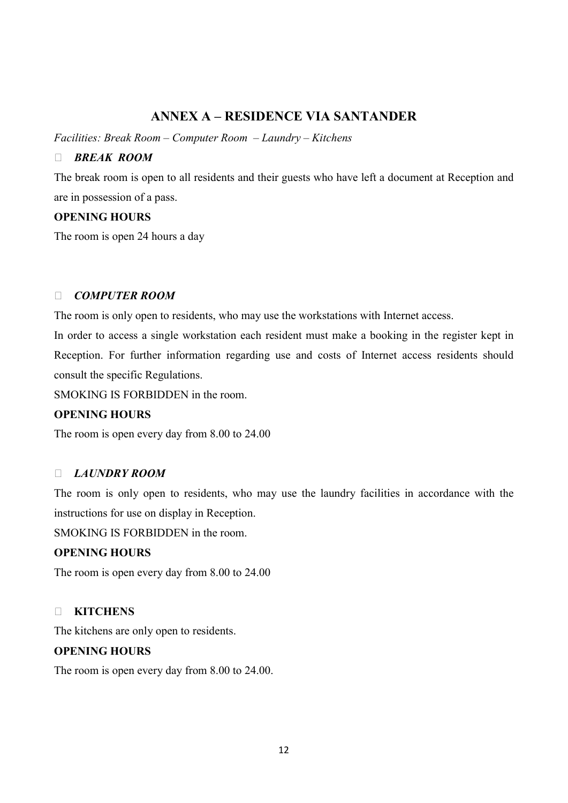# ANNEX A – RESIDENCE VIA SANTANDER

Facilities: Break Room – Computer Room – Laundry – Kitchens

### **BREAK ROOM**

The break room is open to all residents and their guests who have left a document at Reception and are in possession of a pass.

### OPENING HOURS

The room is open 24 hours a day

### DE COMPUTER ROOM

The room is only open to residents, who may use the workstations with Internet access.

In order to access a single workstation each resident must make a booking in the register kept in Reception. For further information regarding use and costs of Internet access residents should consult the specific Regulations.

SMOKING IS FORBIDDEN in the room.

# OPENING HOURS

The room is open every day from 8.00 to 24.00

# LAUNDRY ROOM

The room is only open to residents, who may use the laundry facilities in accordance with the instructions for use on display in Reception.

SMOKING IS FORBIDDEN in the room.

### OPENING HOURS

The room is open every day from 8.00 to 24.00

# **NITCHENS**

The kitchens are only open to residents.

### OPENING HOURS

The room is open every day from 8.00 to 24.00.